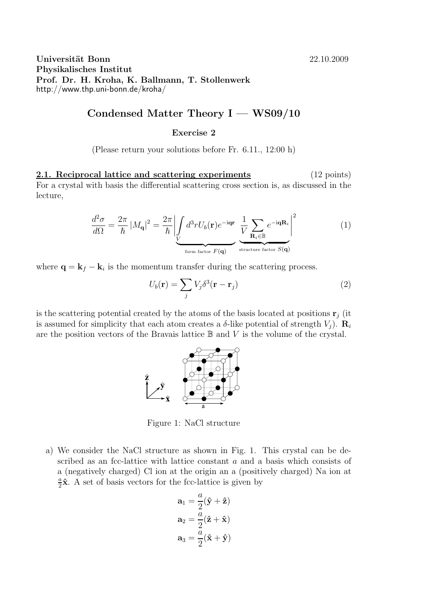Universität Bonn 22.10.2009 Physikalisches Institut Prof. Dr. H. Kroha, K. Ballmann, T. Stollenwerk http://www.thp.uni-bonn.de/kroha/

## Condensed Matter Theory  $I - WS09/10$

## Exercise 2

(Please return your solutions before Fr. 6.11., 12:00 h)

2.1. Reciprocal lattice and scattering experiments (12 points) For a crystal with basis the differential scattering cross section is, as discussed in the lecture,

$$
\frac{d^2\sigma}{d\Omega} = \frac{2\pi}{\hbar} |M_{\mathbf{q}}|^2 = \frac{2\pi}{\hbar} \left| \int \limits_{V} d^3r U_b(\mathbf{r}) e^{-i\mathbf{q}\mathbf{r}} \frac{1}{V} \sum \limits_{\mathbf{R}_i \in \mathbb{B}} e^{-i\mathbf{q}\mathbf{R}_i} \right|^2 \tag{1}
$$

where  $\mathbf{q} = \mathbf{k}_f - \mathbf{k}_i$  is the momentum transfer during the scattering process.

$$
U_b(\mathbf{r}) = \sum_j V_j \delta^3(\mathbf{r} - \mathbf{r}_j)
$$
 (2)

is the scattering potential created by the atoms of the basis located at positions  $\mathbf{r}_i$  (it is assumed for simplicity that each atom creates a  $\delta$ -like potential of strength  $V_i$ ).  $\mathbf{R}_i$ are the position vectors of the Bravais lattice  $\mathbb B$  and V is the volume of the crystal.



Figure 1: NaCl structure

a) We consider the NaCl structure as shown in Fig. 1. This crystal can be described as an fcc-lattice with lattice constant a and a basis which consists of a (negatively charged) Cl ion at the origin an a (positively charged) Na ion at a  $\frac{a}{2}\hat{\mathbf{x}}$ . A set of basis vectors for the fcc-lattice is given by

$$
\mathbf{a}_1 = \frac{a}{2}(\hat{\mathbf{y}} + \hat{\mathbf{z}})
$$

$$
\mathbf{a}_2 = \frac{a}{2}(\hat{\mathbf{z}} + \hat{\mathbf{x}})
$$

$$
\mathbf{a}_3 = \frac{a}{2}(\hat{\mathbf{x}} + \hat{\mathbf{y}})
$$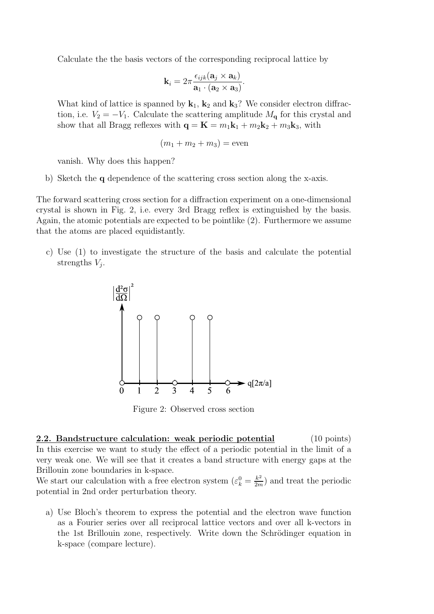Calculate the the basis vectors of the corresponding reciprocal lattice by

$$
\mathbf{k}_{i}=2\pi\frac{\epsilon_{ijk}(\mathbf{a}_{j}\times\mathbf{a}_{k})}{\mathbf{a}_{1}\cdot(\mathbf{a}_{2}\times\mathbf{a}_{3})}.
$$

What kind of lattice is spanned by  $\mathbf{k}_1$ ,  $\mathbf{k}_2$  and  $\mathbf{k}_3$ ? We consider electron diffraction, i.e.  $V_2 = -V_1$ . Calculate the scattering amplitude  $M_{\mathbf{q}}$  for this crystal and show that all Bragg reflexes with  $\mathbf{q} = \mathbf{K} = m_1 \mathbf{k}_1 + m_2 \mathbf{k}_2 + m_3 \mathbf{k}_3$ , with

$$
(m_1 + m_2 + m_3) = \text{even}
$$

vanish. Why does this happen?

b) Sketch the q dependence of the scattering cross section along the x-axis.

The forward scattering cross section for a diffraction experiment on a one-dimensional crystal is shown in Fig. 2, i.e. every 3rd Bragg reflex is extinguished by the basis. Again, the atomic potentials are expected to be pointlike (2). Furthermore we assume that the atoms are placed equidistantly.

c) Use (1) to investigate the structure of the basis and calculate the potential strengths  $V_j$ .



Figure 2: Observed cross section

2.2. Bandstructure calculation: weak periodic potential (10 points) In this exercise we want to study the effect of a periodic potential in the limit of a very weak one. We will see that it creates a band structure with energy gaps at the Brillouin zone boundaries in k-space.

We start our calculation with a free electron system  $(\varepsilon_k^0 = \frac{k^2}{2m})$  $\frac{k^2}{2m}$  and treat the periodic potential in 2nd order perturbation theory.

a) Use Bloch's theorem to express the potential and the electron wave function as a Fourier series over all reciprocal lattice vectors and over all k-vectors in the 1st Brillouin zone, respectively. Write down the Schrödinger equation in k-space (compare lecture).